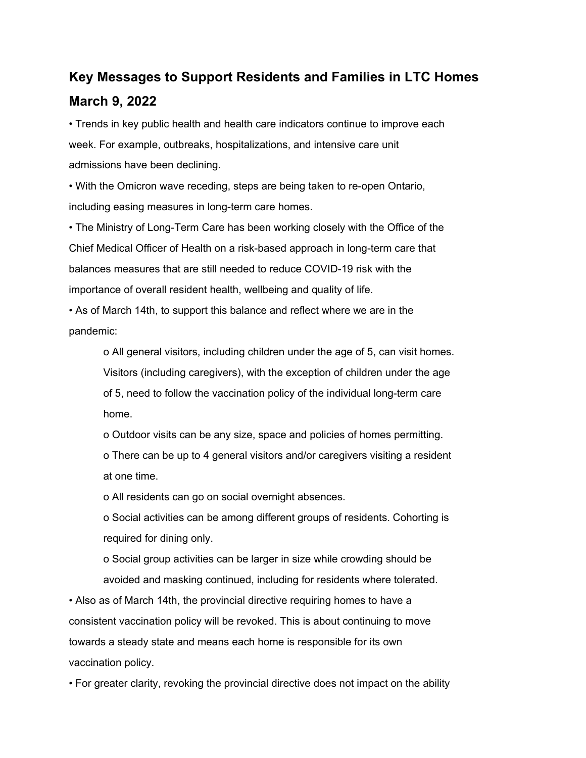# **Key Messages to Support Residents and Families in LTC Homes March 9, 2022**

• Trends in key public health and health care indicators continue to improve each week. For example, outbreaks, hospitalizations, and intensive care unit admissions have been declining.

• With the Omicron wave receding, steps are being taken to re-open Ontario, including easing measures in long-term care homes.

• The Ministry of Long-Term Care has been working closely with the Office of the Chief Medical Officer of Health on a risk-based approach in long-term care that balances measures that are still needed to reduce COVID-19 risk with the importance of overall resident health, wellbeing and quality of life.

• As of March 14th, to support this balance and reflect where we are in the pandemic:

o All general visitors, including children under the age of 5, can visit homes. Visitors (including caregivers), with the exception of children under the age of 5, need to follow the vaccination policy of the individual long-term care home.

o Outdoor visits can be any size, space and policies of homes permitting.

o There can be up to 4 general visitors and/or caregivers visiting a resident at one time.

o All residents can go on social overnight absences.

o Social activities can be among different groups of residents. Cohorting is required for dining only.

o Social group activities can be larger in size while crowding should be avoided and masking continued, including for residents where tolerated.

• Also as of March 14th, the provincial directive requiring homes to have a consistent vaccination policy will be revoked. This is about continuing to move towards a steady state and means each home is responsible for its own vaccination policy.

• For greater clarity, revoking the provincial directive does not impact on the ability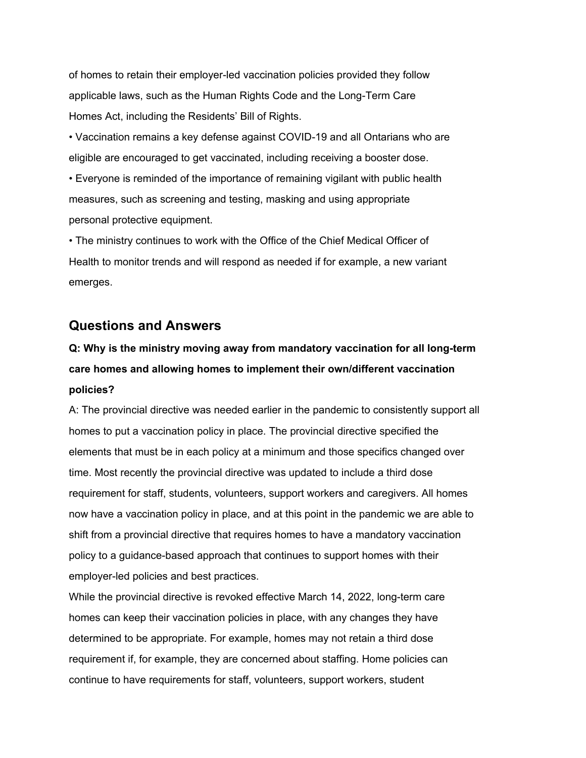of homes to retain their employer-led vaccination policies provided they follow applicable laws, such as the Human Rights Code and the Long-Term Care Homes Act, including the Residents' Bill of Rights.

• Vaccination remains a key defense against COVID-19 and all Ontarians who are eligible are encouraged to get vaccinated, including receiving a booster dose.

• Everyone is reminded of the importance of remaining vigilant with public health measures, such as screening and testing, masking and using appropriate personal protective equipment.

• The ministry continues to work with the Office of the Chief Medical Officer of Health to monitor trends and will respond as needed if for example, a new variant emerges.

### **Questions and Answers**

# **Q: Why is the ministry moving away from mandatory vaccination for all long-term care homes and allowing homes to implement their own/different vaccination policies?**

A: The provincial directive was needed earlier in the pandemic to consistently support all homes to put a vaccination policy in place. The provincial directive specified the elements that must be in each policy at a minimum and those specifics changed over time. Most recently the provincial directive was updated to include a third dose requirement for staff, students, volunteers, support workers and caregivers. All homes now have a vaccination policy in place, and at this point in the pandemic we are able to shift from a provincial directive that requires homes to have a mandatory vaccination policy to a guidance-based approach that continues to support homes with their employer-led policies and best practices.

While the provincial directive is revoked effective March 14, 2022, long-term care homes can keep their vaccination policies in place, with any changes they have determined to be appropriate. For example, homes may not retain a third dose requirement if, for example, they are concerned about staffing. Home policies can continue to have requirements for staff, volunteers, support workers, student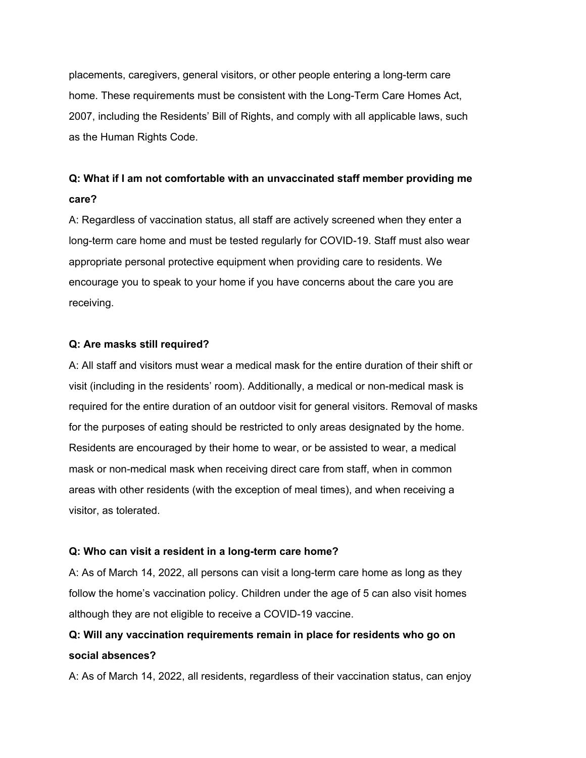placements, caregivers, general visitors, or other people entering a long-term care home. These requirements must be consistent with the Long-Term Care Homes Act, 2007, including the Residents' Bill of Rights, and comply with all applicable laws, such as the Human Rights Code.

## **Q: What if I am not comfortable with an unvaccinated staff member providing me care?**

A: Regardless of vaccination status, all staff are actively screened when they enter a long-term care home and must be tested regularly for COVID-19. Staff must also wear appropriate personal protective equipment when providing care to residents. We encourage you to speak to your home if you have concerns about the care you are receiving.

#### **Q: Are masks still required?**

A: All staff and visitors must wear a medical mask for the entire duration of their shift or visit (including in the residents' room). Additionally, a medical or non-medical mask is required for the entire duration of an outdoor visit for general visitors. Removal of masks for the purposes of eating should be restricted to only areas designated by the home. Residents are encouraged by their home to wear, or be assisted to wear, a medical mask or non-medical mask when receiving direct care from staff, when in common areas with other residents (with the exception of meal times), and when receiving a visitor, as tolerated.

#### **Q: Who can visit a resident in a long-term care home?**

A: As of March 14, 2022, all persons can visit a long-term care home as long as they follow the home's vaccination policy. Children under the age of 5 can also visit homes although they are not eligible to receive a COVID-19 vaccine.

## **Q: Will any vaccination requirements remain in place for residents who go on social absences?**

A: As of March 14, 2022, all residents, regardless of their vaccination status, can enjoy